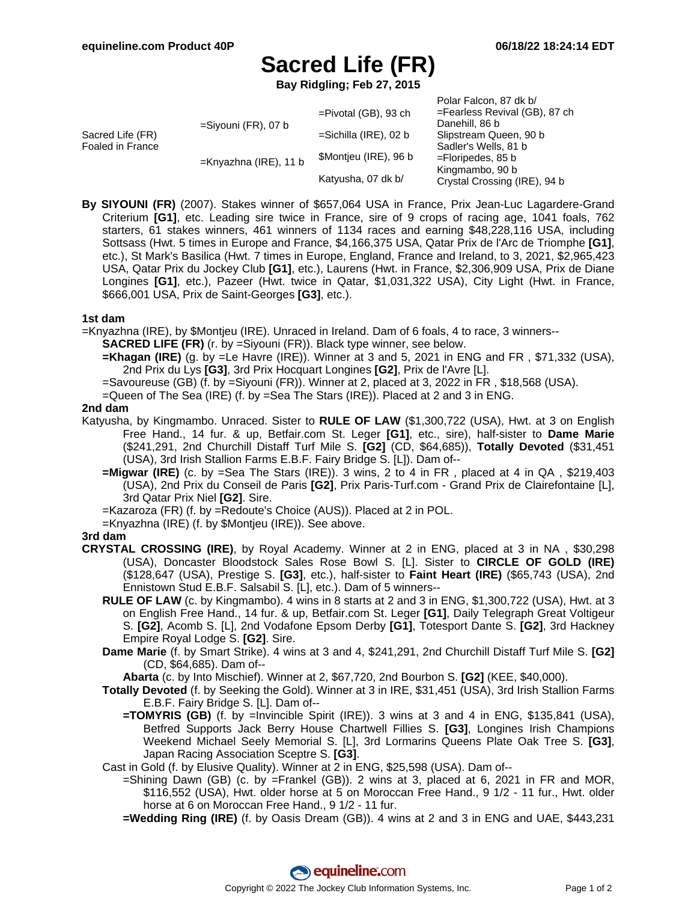Polar Falcon, 87 dk b/

# **Sacred Life (FR)**

**Bay Ridgling; Feb 27, 2015**

|                                      |                        |                          | PUIDI FOICUIT, OF UN DI       |
|--------------------------------------|------------------------|--------------------------|-------------------------------|
| Sacred Life (FR)<br>Foaled in France | $=$ Siyouni (FR), 07 b | $=$ Pivotal (GB), 93 ch  | =Fearless Revival (GB), 87 ch |
|                                      |                        |                          | Danehill, 86 b                |
|                                      |                        | $=$ Sichilla (IRE), 02 b | Slipstream Queen, 90 b        |
|                                      |                        |                          | Sadler's Wells, 81 b          |
|                                      | =Knyazhna (IRE), 11 b  | \$Montjeu (IRE), 96 b    | $=$ Floripedes, 85 b          |
|                                      |                        | Katyusha, 07 dk b/       | Kingmambo, 90 b               |
|                                      |                        |                          | Crystal Crossing (IRE), 94 b  |
|                                      |                        |                          |                               |

**By SIYOUNI (FR)** (2007). Stakes winner of \$657,064 USA in France, Prix Jean-Luc Lagardere-Grand Criterium **[G1]**, etc. Leading sire twice in France, sire of 9 crops of racing age, 1041 foals, 762 starters, 61 stakes winners, 461 winners of 1134 races and earning \$48,228,116 USA, including Sottsass (Hwt. 5 times in Europe and France, \$4,166,375 USA, Qatar Prix de l'Arc de Triomphe **[G1]**, etc.), St Mark's Basilica (Hwt. 7 times in Europe, England, France and Ireland, to 3, 2021, \$2,965,423 USA, Qatar Prix du Jockey Club **[G1]**, etc.), Laurens (Hwt. in France, \$2,306,909 USA, Prix de Diane Longines **[G1]**, etc.), Pazeer (Hwt. twice in Qatar, \$1,031,322 USA), City Light (Hwt. in France, \$666,001 USA, Prix de Saint-Georges **[G3]**, etc.).

### **1st dam**

=Knyazhna (IRE), by \$Montjeu (IRE). Unraced in Ireland. Dam of 6 foals, 4 to race, 3 winners--

- **SACRED LIFE (FR)** (r. by =Siyouni (FR)). Black type winner, see below.
- **=Khagan (IRE)** (g. by =Le Havre (IRE)). Winner at 3 and 5, 2021 in ENG and FR , \$71,332 (USA), 2nd Prix du Lys **[G3]**, 3rd Prix Hocquart Longines **[G2]**, Prix de l'Avre [L].
- =Savoureuse (GB) (f. by =Siyouni (FR)). Winner at 2, placed at 3, 2022 in FR , \$18,568 (USA).
- =Queen of The Sea (IRE) (f. by =Sea The Stars (IRE)). Placed at 2 and 3 in ENG.

#### **2nd dam**

- Katyusha, by Kingmambo. Unraced. Sister to **RULE OF LAW** (\$1,300,722 (USA), Hwt. at 3 on English Free Hand., 14 fur. & up, Betfair.com St. Leger **[G1]**, etc., sire), half-sister to **Dame Marie** (\$241,291, 2nd Churchill Distaff Turf Mile S. **[G2]** (CD, \$64,685)), **Totally Devoted** (\$31,451 (USA), 3rd Irish Stallion Farms E.B.F. Fairy Bridge S. [L]). Dam of--
	- **=Migwar (IRE)** (c. by =Sea The Stars (IRE)). 3 wins, 2 to 4 in FR , placed at 4 in QA , \$219,403 (USA), 2nd Prix du Conseil de Paris **[G2]**, Prix Paris-Turf.com - Grand Prix de Clairefontaine [L], 3rd Qatar Prix Niel **[G2]**. Sire.

=Kazaroza (FR) (f. by =Redoute's Choice (AUS)). Placed at 2 in POL.

=Knyazhna (IRE) (f. by \$Montjeu (IRE)). See above.

## **3rd dam**

- **CRYSTAL CROSSING (IRE)**, by Royal Academy. Winner at 2 in ENG, placed at 3 in NA , \$30,298 (USA), Doncaster Bloodstock Sales Rose Bowl S. [L]. Sister to **CIRCLE OF GOLD (IRE)** (\$128,647 (USA), Prestige S. **[G3]**, etc.), half-sister to **Faint Heart (IRE)** (\$65,743 (USA), 2nd Ennistown Stud E.B.F. Salsabil S. [L], etc.). Dam of 5 winners--
	- **RULE OF LAW** (c. by Kingmambo). 4 wins in 8 starts at 2 and 3 in ENG, \$1,300,722 (USA), Hwt. at 3 on English Free Hand., 14 fur. & up, Betfair.com St. Leger **[G1]**, Daily Telegraph Great Voltigeur S. **[G2]**, Acomb S. [L], 2nd Vodafone Epsom Derby **[G1]**, Totesport Dante S. **[G2]**, 3rd Hackney Empire Royal Lodge S. **[G2]**. Sire.
	- **Dame Marie** (f. by Smart Strike). 4 wins at 3 and 4, \$241,291, 2nd Churchill Distaff Turf Mile S. **[G2]** (CD, \$64,685). Dam of--
	- **Abarta** (c. by Into Mischief). Winner at 2, \$67,720, 2nd Bourbon S. **[G2]** (KEE, \$40,000).
	- **Totally Devoted** (f. by Seeking the Gold). Winner at 3 in IRE, \$31,451 (USA), 3rd Irish Stallion Farms E.B.F. Fairy Bridge S. [L]. Dam of--
		- **=TOMYRIS (GB)** (f. by =Invincible Spirit (IRE)). 3 wins at 3 and 4 in ENG, \$135,841 (USA), Betfred Supports Jack Berry House Chartwell Fillies S. **[G3]**, Longines Irish Champions Weekend Michael Seely Memorial S. [L], 3rd Lormarins Queens Plate Oak Tree S. **[G3]**, Japan Racing Association Sceptre S. **[G3]**.
	- Cast in Gold (f. by Elusive Quality). Winner at 2 in ENG, \$25,598 (USA). Dam of--
		- =Shining Dawn (GB) (c. by =Frankel (GB)). 2 wins at 3, placed at 6, 2021 in FR and MOR, \$116,552 (USA), Hwt. older horse at 5 on Moroccan Free Hand., 9 1/2 - 11 fur., Hwt. older horse at 6 on Moroccan Free Hand., 9 1/2 - 11 fur.
		- **=Wedding Ring (IRE)** (f. by Oasis Dream (GB)). 4 wins at 2 and 3 in ENG and UAE, \$443,231